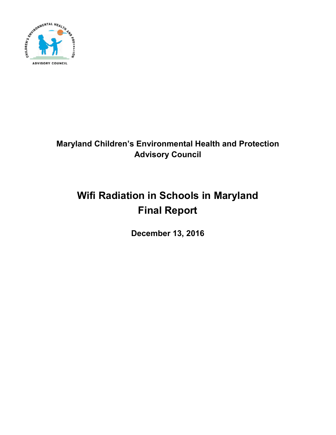

# **Maryland Children's Environmental Health and Protection Advisory Council**

# **Wifi Radiation in Schools in Maryland Final Report**

**December 13, 2016**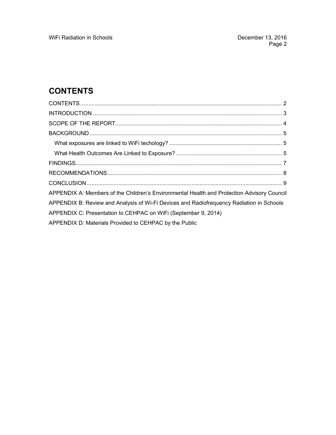# **CONTENTS**

| APPENDIX A: Members of the Children's Environmental Health and Protection Advisory Council |  |  |
|--------------------------------------------------------------------------------------------|--|--|
| APPENDIX B: Review and Analysis of Wi-Fi Devices and Radiofrequency Radiation in Schools   |  |  |
| APPENDIX C: Presentation to CEHPAC on WiFi (September 9, 2014)                             |  |  |
| APPENDIX D: Materials Provided to CEHPAC by the Public                                     |  |  |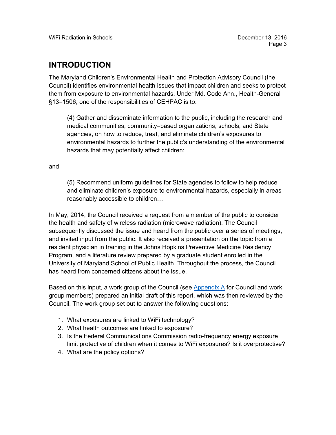#### **INTRODUCTION**

The Maryland Children's Environmental Health and Protection Advisory Council (the Council) identifies environmental health issues that impact children and seeks to protect them from exposure to environmental hazards. Under Md. Code Ann., Health-General §13–1506, one of the responsibilities of CEHPAC is to:

(4) Gather and disseminate information to the public, including the research and medical communities, community–based organizations, schools, and State agencies, on how to reduce, treat, and eliminate children's exposures to environmental hazards to further the public's understanding of the environmental hazards that may potentially affect children;

and

(5) Recommend uniform guidelines for State agencies to follow to help reduce and eliminate children's exposure to environmental hazards, especially in areas reasonably accessible to children…

In May, 2014, the Council received a request from a member of the public to consider the health and safety of wireless radiation (microwave radiation). The Council subsequently discussed the issue and heard from the public over a series of meetings, and invited input from the public. It also received a presentation on the topic from a resident physician in training in the Johns Hopkins Preventive Medicine Residency Program, and a literature review prepared by a graduate student enrolled in the University of Maryland School of Public Health. Throughout the process, the Council has heard from concerned citizens about the issue.

Based on this input, a work group of the Council (see Appendix A for Council and work group members) prepared an initial draft of this report, which was then reviewed by the Council. The work group set out to answer the following questions:

- 1. What exposures are linked to WiFi technology?
- 2. What health outcomes are linked to exposure?
- 3. Is the Federal Communications Commission radio-frequency energy exposure limit protective of children when it comes to WiFi exposures? Is it overprotective?
- 4. What are the policy options?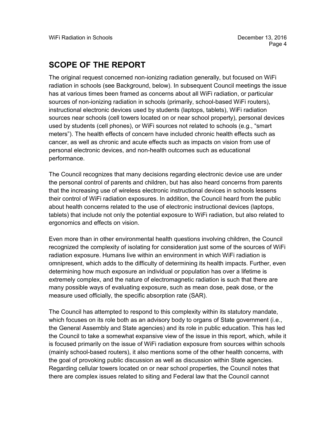#### **SCOPE OF THE REPORT**

The original request concerned non-ionizing radiation generally, but focused on WiFi radiation in schools (see Background, below). In subsequent Council meetings the issue has at various times been framed as concerns about all WiFi radiation, or particular sources of non-ionizing radiation in schools (primarily, school-based WiFi routers), instructional electronic devices used by students (laptops, tablets), WiFi radiation sources near schools (cell towers located on or near school property), personal devices used by students (cell phones), or WiFi sources not related to schools (e.g., "smart meters"). The health effects of concern have included chronic health effects such as cancer, as well as chronic and acute effects such as impacts on vision from use of personal electronic devices, and non-health outcomes such as educational performance.

The Council recognizes that many decisions regarding electronic device use are under the personal control of parents and children, but has also heard concerns from parents that the increasing use of wireless electronic instructional devices in schools lessens their control of WiFi radiation exposures. In addition, the Council heard from the public about health concerns related to the use of electronic instructional devices (laptops, tablets) that include not only the potential exposure to WiFi radiation, but also related to ergonomics and effects on vision.

Even more than in other environmental health questions involving children, the Council recognized the complexity of isolating for consideration just some of the sources of WiFi radiation exposure. Humans live within an environment in which WiFi radiation is omnipresent, which adds to the difficulty of determining its health impacts. Further, even determining how much exposure an individual or population has over a lifetime is extremely complex, and the nature of electromagnetic radiation is such that there are many possible ways of evaluating exposure, such as mean dose, peak dose, or the measure used officially, the specific absorption rate (SAR).

The Council has attempted to respond to this complexity within its statutory mandate, which focuses on its role both as an advisory body to organs of State government (i.e., the General Assembly and State agencies) and its role in public education. This has led the Council to take a somewhat expansive view of the issue in this report, which, while it is focused primarily on the issue of WiFi radiation exposure from sources within schools (mainly school-based routers), it also mentions some of the other health concerns, with the goal of provoking public discussion as well as discussion within State agencies. Regarding cellular towers located on or near school properties, the Council notes that there are complex issues related to siting and Federal law that the Council cannot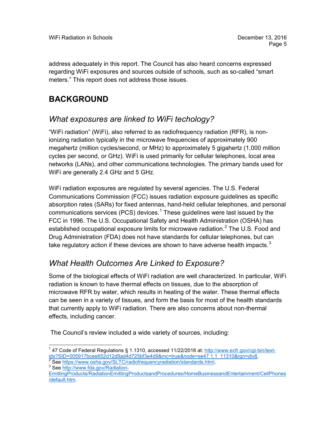address adequately in this report. The Council has also heard concerns expressed regarding WiFi exposures and sources outside of schools, such as so-called "smart meters." This report does not address those issues.

## **BACKGROUND**

#### *What exposures are linked to WiFi techology?*

"WiFi radiation" (WiFi), also referred to as radiofrequency radiation (RFR), is nonionizing radiation typically in the microwave frequencies of approximately 900 megahertz (million cycles/second, or MHz) to approximately 5 gigahertz (1,000 million cycles per second, or GHz). WiFi is used primarily for cellular telephones, local area networks (LANs), and other communications technologies. The primary bands used for WiFi are generally 2.4 GHz and 5 GHz.

WiFi radiation exposures are regulated by several agencies. The U.S. Federal Communications Commission (FCC) issues radiation exposure guidelines as specific absorption rates (SARs) for fixed antennas, hand-held cellular telephones, and personal communications services (PCS) devices.<sup>1</sup> These guidelines were last issued by the FCC in 1996. The U.S. Occupational Safety and Health Administration (OSHA) has established occupational exposure limits for microwave radiation.<sup>2</sup> The U.S. Food and Drug Administration (FDA) does not have standards for cellular telephones, but can take regulatory action if these devices are shown to have adverse health impacts. $3$ 

#### *What Health Outcomes Are Linked to Exposure?*

Some of the biological effects of WiFi radiation are well characterized. In particular, WiFi radiation is known to have thermal effects on tissues, due to the absorption of microwave RFR by water, which results in heating of the water. These thermal effects can be seen in a variety of tissues, and form the basis for most of the health standards that currently apply to WiFi radiation. There are also concerns about non-thermal effects, including cancer.

The Council's review included a wide variety of sources, including:

<sup>&</sup>lt;sup>1</sup> 47 Code of Federal Regulations § 1.1310, accessed 11/22/2016 at: <u>http://www.ecfr.gov/cgi-bin/text-</u><br>idx?SID=005<u>917bcee652d12d9ad4d725bf3e4d9&mc=true&node=se47.1.1\_11310&rgn=div8</u>.

<sup>&</sup>lt;sup>2</sup> See [https://www.osha.gov/SLTC/radiofrequencyradiation/standards.html.](https://www.osha.gov/SLTC/radiofrequencyradiation/standards.html)<br><sup>3</sup> See http://w<u>ww.fda.gov/Radiation-</u>

[EmittingProducts/RadiationEmittingProductsandProcedures/HomeBusinessandEntertainment/CellPhones](http://www.fda.gov/Radiation-EmittingProducts/RadiationEmittingProductsandProcedures/HomeBusinessandEntertainment/CellPhones/default.htm) [/default.htm.](http://www.fda.gov/Radiation-EmittingProducts/RadiationEmittingProductsandProcedures/HomeBusinessandEntertainment/CellPhones/default.htm)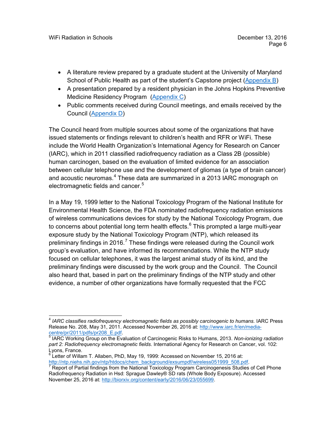- A literature review prepared by a graduate student at the University of Maryland School of Public Health as part of the student's Capstone project (Appendix B)
- A presentation prepared by a resident physician in the Johns Hopkins Preventive Medicine Residency Program (Appendix C)
- Public comments received during Council meetings, and emails received by the Council (Appendix D)

The Council heard from multiple sources about some of the organizations that have issued statements or findings relevant to children's health and RFR or WiFi. These include the World Health Organization's International Agency for Research on Cancer (IARC), which in 2011 classified radiofrequency radiation as a Class 2B (possible) human carcinogen, based on the evaluation of limited evidence for an association between cellular telephone use and the development of gliomas (a type of brain cancer) and acoustic neuromas.<sup>4</sup> These data are summarized in a 2013 IARC monograph on electromagnetic fields and cancer.<sup>5</sup>

In a May 19, 1999 letter to the National Toxicology Program of the National Institute for Environmental Health Science, the FDA nominated radiofrequency radiation emissions of wireless communications devices for study by the National Toxicology Program, due to concerns about potential long term health effects. $6$  This prompted a large multi-year exposure study by the National Toxicology Program (NTP), which released its preliminary findings in 2016.<sup>7</sup> These findings were released during the Council work group's evaluation, and have informed its recommendations. While the NTP study focused on cellular telephones, it was the largest animal study of its kind, and the preliminary findings were discussed by the work group and the Council. The Council also heard that, based in part on the preliminary findings of the NTP study and other evidence, a number of other organizations have formally requested that the FCC

 <sup>4</sup> *IARC classifies radiofrequency electromagnetic fields as possibly carcinogenic to humans.* IARC Press Release No. 208, May 31, 2011. Accessed November 26, 2016 at: http://www.iarc.fr/en/media-<br>centre/pr/2011/pdfs/pr208 E.pdf.

<sup>&</sup>lt;sup>5</sup> IARC Working Group on the Evaluation of Carcinogenic Risks to Humans, 2013. Non-ionizing radiation *part 2: Radiofrequency electromagnetic fields*. International Agency for Research on Cancer, vol. 102: Lyons, France.

 $6$  Letter of Willam T. Allaben, PhD, May 19, 1999: Accessed on November 15, 2016 at:<br>http://ntp.niehs.nih.gov/ntp/htdocs/chem\_background/exsumpdf/wireless051999\_508.pdf.

Report of Partial findings from the National Toxicology Program Carcinogenesis Studies of Cell Phone Radiofrequency Radiation in Hsd: Sprague Dawley® SD rats (Whole Body Exposure). Accessed November 25, 2016 at: [http://biorxiv.org/content/early/2016/06/23/055699.](http://biorxiv.org/content/early/2016/06/23/055699)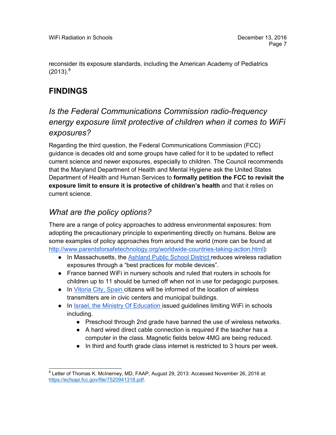reconsider its exposure standards, including the American Academy of Pediatrics  $(2013).<sup>8</sup>$ 

## **FINDINGS**

#### *Is the Federal Communications Commission radio-frequency energy exposure limit protective of children when it comes to WiFi exposures?*

Regarding the third question, the Federal Communications Commission (FCC) guidance is decades old and some groups have called for it to be updated to reflect current science and newer exposures, especially to children. The Council recommends that the Maryland Department of Health and Mental Hygiene ask the United States Department of Health and Human Services to **formally petition the FCC to revisit the exposure limit to ensure it is protective of children's health** and that it relies on current science.

#### *What are the policy options?*

There are a range of policy approaches to address environmental exposures: from adopting the precautionary principle to experimenting directly on humans. Below are some examples of policy approaches from around the world (more can be found at [http://www.parentsforsafetechnology.org/worldwide-countries-taking-action.html\)](http://www.parentsforsafetechnology.org/worldwide-countries-taking-action.html):

- In Massachusetts, the [Ashland Public School District r](http://ehtrust.org/first-us-public-school-district-limits-wi-fi-radiation-exposure-to-students-and-staff/)educes wireless radiation exposures through a "best practices for mobile devices".
- France banned WiFi in nursery schools and ruled that routers in schools for children up to 11 should be turned off when not in use for pedagogic purposes.
- In [Vitoria City, Spain c](http://www.elmundo.es/pais-vasco/2015/09/26/5606c8eaca4741a7658b4590.html)itizens will be informed of the location of wireless transmitters are in civic centers and municipal buildings.
- In [Israel, the Ministry Of Education i](http://cms.education.gov.il/EducationCMS/Applications/Mankal/EtsMedorim/3/3-6/HoraotKeva/K-2013-3-3-6-11.htm)ssued guidelines limiting WiFi in schools including.
	- Preschool through 2nd grade have banned the use of wireless networks.
	- A hard wired direct cable connection is required if the teacher has a computer in the class. Magnetic fields below 4MG are being reduced.
	- In third and fourth grade class internet is restricted to 3 hours per week.

 <sup>8</sup> Letter of Thomas K. McInerney, MD, FAAP, August 29, 2013: Accessed November 26, 2016 at: [https://ecfsapi.fcc.gov/file/7520941318.pdf.](https://ecfsapi.fcc.gov/file/7520941318.pdf)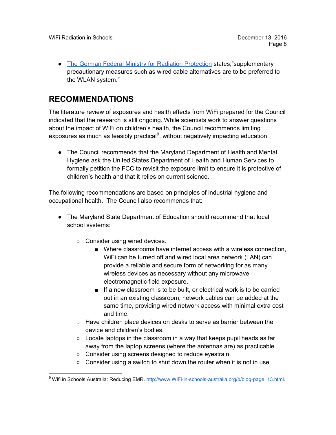• [The German Federal Ministry for Radiation Protection](http://translate.google.com/translate?hl=en&sl=de&u=http://www.icems.eu/docs/deutscher_bundestag.pdf&prev=/search%3Fq%3DThe%2BGerman%2BFederal%2BMinistry%2Bfor%2BRadiation%2BProtection%2B%255BDas%2BBundesamt%2Bf%25C3%25BCr%2BStrahlenschutz%255D%2Brecommends,%2Bthat%2Bin%2Bview%2Bof%2Bthe%2Bregulated%2Blimits%2Bsupplementary%2Bprecautionary%2Bmeasures%2Bsuch%2Bas%2Bwired%2Bcable%2Balternatives%2Bare%2Bto%2Bbe%2Bpreferred%2Bto%2Bthe%2BWLAN%2Bsystem%2BAlso%2Bthe%2Bquestion%2Babout%2Bthe%2Bage-dependent%2Benergy%2Babsorption%2Band%2Benergy%2Bdistribution%2Bhas%2Bnot%2Byet%2Bbeen%2Bsatisfactorily%2Banswered.%2BThis%2Bstatement%2Bled%2Bthe%2BBavarian%2BLandtag%2Bto%2Bissue%2Ba%2Brecommendation%2Bto%2Bschools%2Bin%2Bwhich%2Bthe%2Bschools%2Bare%2Bcalled%2Bupon%2Bto%2Bavoid%2BWLAN,%2Bif%2Bpossible.%26client%3Dfirefox-a%26hs%3DL7e%26rls%3Dorg.mozilla:en-US:official%26channel%3Dsb) states,"supplementary precautionary measures such as wired cable alternatives are to be preferred to the WLAN system."

### **RECOMMENDATIONS**

The literature review of exposures and health effects from WiFi prepared for the Council indicated that the research is still ongoing. While scientists work to answer questions about the impact of WiFi on children's health, the Council recommends limiting exposures as much as feasibly practical<sup>9</sup>, without negatively impacting education.

• The Council recommends that the Maryland Department of Health and Mental Hygiene ask the United States Department of Health and Human Services to formally petition the FCC to revisit the exposure limit to ensure it is protective of children's health and that it relies on current science.

The following recommendations are based on principles of industrial hygiene and occupational health. The Council also recommends that:

- The Maryland State Department of Education should recommend that local school systems:
	- Consider using wired devices.
		- Where classrooms have internet access with a wireless connection, WiFi can be turned off and wired local area network (LAN) can provide a reliable and secure form of networking for as many wireless devices as necessary without any microwave electromagnetic field exposure.
		- If a new classroom is to be built, or electrical work is to be carried out in an existing classroom, network cables can be added at the same time, providing wired network access with minimal extra cost and time.
	- Have children place devices on desks to serve as barrier between the device and children's bodies.
	- Locate laptops in the classroom in a way that keeps pupil heads as far away from the laptop screens (where the antennas are) as practicable.
	- Consider using screens designed to reduce eyestrain.
	- Consider using a switch to shut down the router when it is not in use.

<sup>&</sup>lt;sup>9</sup> Wifi in Schools Australia: Reducing EMR. [http://www.WiFi-in-schools-australia.org/p/blog-page\\_13.html.](http://www.wifi-in-schools-australia.org/p/blog-page_13.html)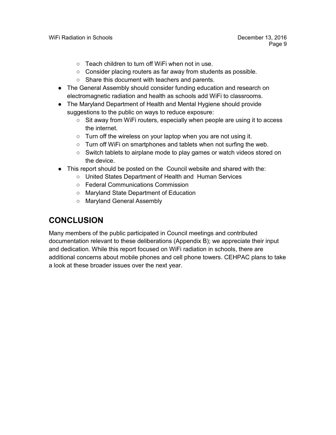- Teach children to turn off WiFi when not in use.
- Consider placing routers as far away from students as possible.
- Share this document with teachers and parents.
- The General Assembly should consider funding education and research on electromagnetic radiation and health as schools add WiFi to classrooms.
- The Maryland Department of Health and Mental Hygiene should provide suggestions to the public on ways to reduce exposure:
	- $\circ$  Sit away from WiFi routers, especially when people are using it to access the internet.
	- Turn off the wireless on your laptop when you are not using it.
	- Turn off WiFi on smartphones and tablets when not surfing the web.
	- Switch tablets to airplane mode to play games or watch videos stored on the device.
- This report should be posted on the Council website and shared with the:
	- United States Department of Health and Human Services
	- Federal Communications Commission
	- Maryland State Department of Education
	- Maryland General Assembly

### **CONCLUSION**

Many members of the public participated in Council meetings and contributed documentation relevant to these deliberations (Appendix B); we appreciate their input and dedication. While this report focused on WiFi radiation in schools, there are additional concerns about mobile phones and cell phone towers. CEHPAC plans to take a look at these broader issues over the next year.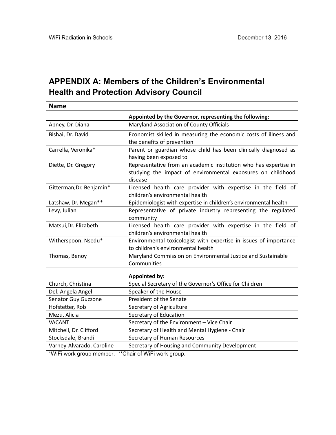## **APPENDIX A: Members of the Children's Environmental Health and Protection Advisory Council**

| <b>Name</b>               |                                                                                                                                            |
|---------------------------|--------------------------------------------------------------------------------------------------------------------------------------------|
|                           | Appointed by the Governor, representing the following:                                                                                     |
| Abney, Dr. Diana          | Maryland Association of County Officials                                                                                                   |
| Bishai, Dr. David         | Economist skilled in measuring the economic costs of illness and<br>the benefits of prevention                                             |
| Carrella, Veronika*       | Parent or guardian whose child has been clinically diagnosed as<br>having been exposed to                                                  |
| Diette, Dr. Gregory       | Representative from an academic institution who has expertise in<br>studying the impact of environmental exposures on childhood<br>disease |
| Gitterman, Dr. Benjamin*  | Licensed health care provider with expertise in the field of<br>children's environmental health                                            |
| Latshaw, Dr. Megan**      | Epidemiologist with expertise in children's environmental health                                                                           |
| Levy, Julian              | Representative of private industry representing the regulated<br>community                                                                 |
| Matsui, Dr. Elizabeth     | Licensed health care provider with expertise in the field of<br>children's environmental health                                            |
| Witherspoon, Nsedu*       | Environmental toxicologist with expertise in issues of importance<br>to children's environmental health                                    |
| Thomas, Benoy             | Maryland Commission on Environmental Justice and Sustainable<br>Communities                                                                |
|                           | <b>Appointed by:</b>                                                                                                                       |
| Church, Christina         | Special Secretary of the Governor's Office for Children                                                                                    |
| Del. Angela Angel         | Speaker of the House                                                                                                                       |
| Senator Guy Guzzone       | President of the Senate                                                                                                                    |
| Hofstetter, Rob           | Secretary of Agriculture                                                                                                                   |
| Mezu, Alicia              | Secretary of Education                                                                                                                     |
| <b>VACANT</b>             | Secretary of the Environment - Vice Chair                                                                                                  |
| Mitchell, Dr. Clifford    | Secretary of Health and Mental Hygiene - Chair                                                                                             |
| Stocksdale, Brandi        | Secretary of Human Resources                                                                                                               |
| Varney-Alvarado, Caroline | Secretary of Housing and Community Development                                                                                             |

\*WiFi work group member. \*\*Chair of WiFi work group.